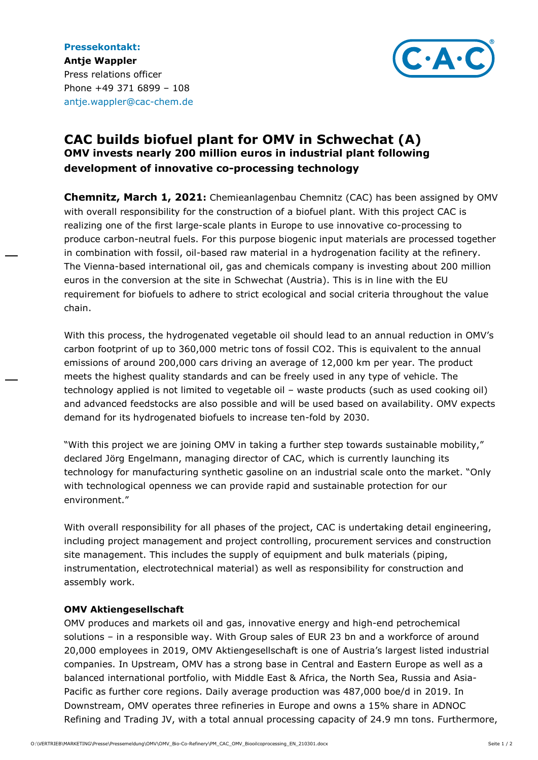

## **CAC builds biofuel plant for OMV in Schwechat (A) OMV invests nearly 200 million euros in industrial plant following development of innovative co-processing technology**

**Chemnitz, March 1, 2021:** Chemieanlagenbau Chemnitz (CAC) has been assigned by OMV with overall responsibility for the construction of a biofuel plant. With this project CAC is realizing one of the first large-scale plants in Europe to use innovative co-processing to produce carbon-neutral fuels. For this purpose biogenic input materials are processed together in combination with fossil, oil-based raw material in a hydrogenation facility at the refinery. The Vienna-based international oil, gas and chemicals company is investing about 200 million euros in the conversion at the site in Schwechat (Austria). This is in line with the EU requirement for biofuels to adhere to strict ecological and social criteria throughout the value chain.

With this process, the hydrogenated vegetable oil should lead to an annual reduction in OMV's carbon footprint of up to 360,000 metric tons of fossil CO2. This is equivalent to the annual emissions of around 200,000 cars driving an average of 12,000 km per year. The product meets the highest quality standards and can be freely used in any type of vehicle. The technology applied is not limited to vegetable oil – waste products (such as used cooking oil) and advanced feedstocks are also possible and will be used based on availability. OMV expects demand for its hydrogenated biofuels to increase ten-fold by 2030.

"With this project we are joining OMV in taking a further step towards sustainable mobility," declared Jörg Engelmann, managing director of CAC, which is currently launching its technology for manufacturing synthetic gasoline on an industrial scale onto the market. "Only with technological openness we can provide rapid and sustainable protection for our environment."

With overall responsibility for all phases of the project, CAC is undertaking detail engineering, including project management and project controlling, procurement services and construction site management. This includes the supply of equipment and bulk materials (piping, instrumentation, electrotechnical material) as well as responsibility for construction and assembly work.

## **OMV Aktiengesellschaft**

OMV produces and markets oil and gas, innovative energy and high-end petrochemical solutions – in a responsible way. With Group sales of EUR 23 bn and a workforce of around 20,000 employees in 2019, OMV Aktiengesellschaft is one of Austria's largest listed industrial companies. In Upstream, OMV has a strong base in Central and Eastern Europe as well as a balanced international portfolio, with Middle East & Africa, the North Sea, Russia and Asia-Pacific as further core regions. Daily average production was 487,000 boe/d in 2019. In Downstream, OMV operates three refineries in Europe and owns a 15% share in ADNOC Refining and Trading JV, with a total annual processing capacity of 24.9 mn tons. Furthermore,